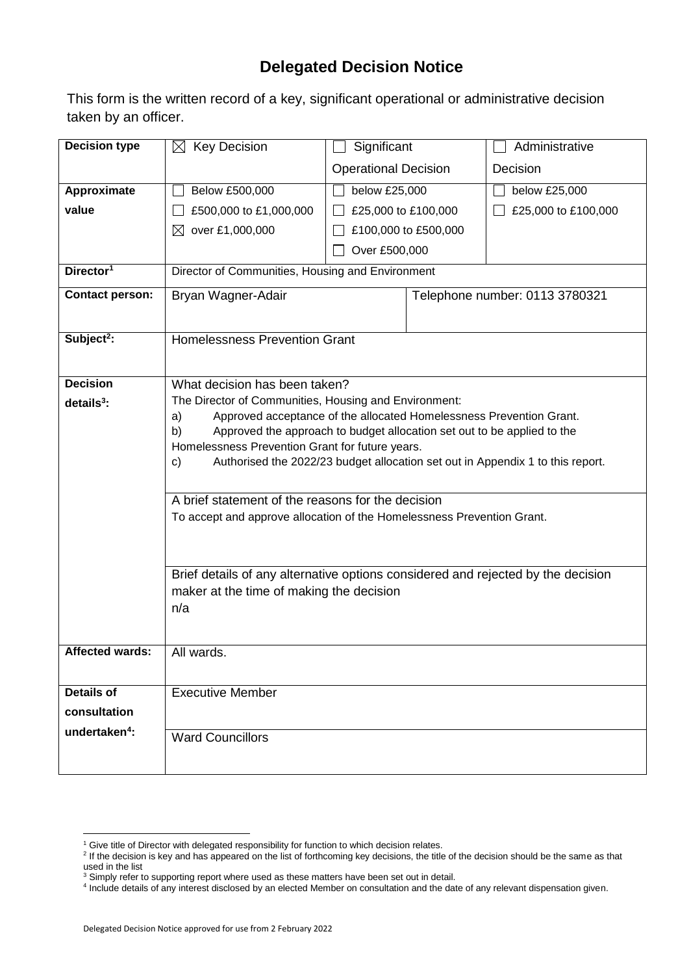## **Delegated Decision Notice**

This form is the written record of a key, significant operational or administrative decision taken by an officer.

| <b>Decision type</b>      | <b>Key Decision</b><br>$\boxtimes$                                                                                                                                                                                                                                                                                                                                                                                                                                                                                                                                                                                                   | Significant                 |                                | Administrative      |  |  |
|---------------------------|--------------------------------------------------------------------------------------------------------------------------------------------------------------------------------------------------------------------------------------------------------------------------------------------------------------------------------------------------------------------------------------------------------------------------------------------------------------------------------------------------------------------------------------------------------------------------------------------------------------------------------------|-----------------------------|--------------------------------|---------------------|--|--|
|                           |                                                                                                                                                                                                                                                                                                                                                                                                                                                                                                                                                                                                                                      | <b>Operational Decision</b> |                                | Decision            |  |  |
| Approximate               | Below £500,000                                                                                                                                                                                                                                                                                                                                                                                                                                                                                                                                                                                                                       | below £25,000               |                                | below £25,000       |  |  |
| value                     | £500,000 to £1,000,000                                                                                                                                                                                                                                                                                                                                                                                                                                                                                                                                                                                                               | £25,000 to £100,000         |                                | £25,000 to £100,000 |  |  |
|                           | over £1,000,000<br>$\boxtimes$                                                                                                                                                                                                                                                                                                                                                                                                                                                                                                                                                                                                       | £100,000 to £500,000        |                                |                     |  |  |
|                           |                                                                                                                                                                                                                                                                                                                                                                                                                                                                                                                                                                                                                                      | Over £500,000               |                                |                     |  |  |
| Director <sup>1</sup>     | Director of Communities, Housing and Environment                                                                                                                                                                                                                                                                                                                                                                                                                                                                                                                                                                                     |                             |                                |                     |  |  |
| <b>Contact person:</b>    | Bryan Wagner-Adair                                                                                                                                                                                                                                                                                                                                                                                                                                                                                                                                                                                                                   |                             | Telephone number: 0113 3780321 |                     |  |  |
| Subject <sup>2</sup> :    | <b>Homelessness Prevention Grant</b>                                                                                                                                                                                                                                                                                                                                                                                                                                                                                                                                                                                                 |                             |                                |                     |  |  |
| <b>Decision</b>           | What decision has been taken?                                                                                                                                                                                                                                                                                                                                                                                                                                                                                                                                                                                                        |                             |                                |                     |  |  |
| $details3$ :              | The Director of Communities, Housing and Environment:<br>Approved acceptance of the allocated Homelessness Prevention Grant.<br>a)<br>b)<br>Approved the approach to budget allocation set out to be applied to the<br>Homelessness Prevention Grant for future years.<br>Authorised the 2022/23 budget allocation set out in Appendix 1 to this report.<br>c)<br>A brief statement of the reasons for the decision<br>To accept and approve allocation of the Homelessness Prevention Grant.<br>Brief details of any alternative options considered and rejected by the decision<br>maker at the time of making the decision<br>n/a |                             |                                |                     |  |  |
| <b>Affected wards:</b>    | All wards.                                                                                                                                                                                                                                                                                                                                                                                                                                                                                                                                                                                                                           |                             |                                |                     |  |  |
| <b>Details of</b>         | <b>Executive Member</b>                                                                                                                                                                                                                                                                                                                                                                                                                                                                                                                                                                                                              |                             |                                |                     |  |  |
| consultation              |                                                                                                                                                                                                                                                                                                                                                                                                                                                                                                                                                                                                                                      |                             |                                |                     |  |  |
| undertaken <sup>4</sup> : | <b>Ward Councillors</b>                                                                                                                                                                                                                                                                                                                                                                                                                                                                                                                                                                                                              |                             |                                |                     |  |  |

<sup>1</sup> <sup>1</sup> Give title of Director with delegated responsibility for function to which decision relates.

<sup>&</sup>lt;sup>2</sup> If the decision is key and has appeared on the list of forthcoming key decisions, the title of the decision should be the same as that used in the list

 $3$  Simply refer to supporting report where used as these matters have been set out in detail.

<sup>4</sup> Include details of any interest disclosed by an elected Member on consultation and the date of any relevant dispensation given.